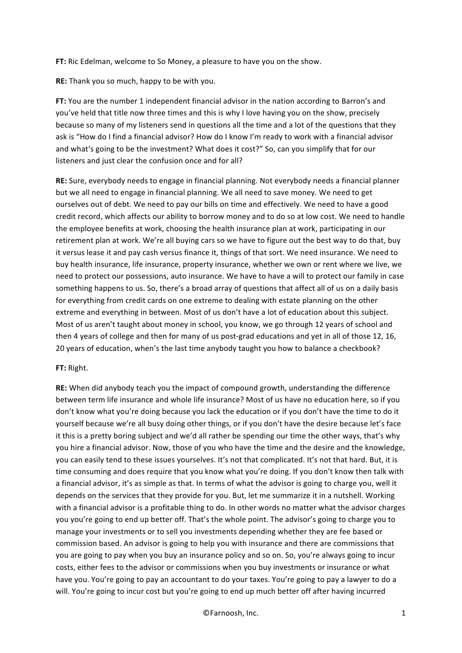**FT:** Ric Edelman, welcome to So Money, a pleasure to have you on the show.

**RE:** Thank you so much, happy to be with you.

**FT:** You are the number 1 independent financial advisor in the nation according to Barron's and you've held that title now three times and this is why I love having you on the show, precisely because so many of my listeners send in questions all the time and a lot of the questions that they ask is "How do I find a financial advisor? How do I know I'm ready to work with a financial advisor and what's going to be the investment? What does it cost?" So, can you simplify that for our listeners and just clear the confusion once and for all?

**RE:** Sure, everybody needs to engage in financial planning. Not everybody needs a financial planner but we all need to engage in financial planning. We all need to save money. We need to get ourselves out of debt. We need to pay our bills on time and effectively. We need to have a good credit record, which affects our ability to borrow money and to do so at low cost. We need to handle the employee benefits at work, choosing the health insurance plan at work, participating in our retirement plan at work. We're all buying cars so we have to figure out the best way to do that, buy it versus lease it and pay cash versus finance it, things of that sort. We need insurance. We need to buy health insurance, life insurance, property insurance, whether we own or rent where we live, we need to protect our possessions, auto insurance. We have to have a will to protect our family in case something happens to us. So, there's a broad array of questions that affect all of us on a daily basis for everything from credit cards on one extreme to dealing with estate planning on the other extreme and everything in between. Most of us don't have a lot of education about this subject. Most of us aren't taught about money in school, you know, we go through 12 years of school and then 4 years of college and then for many of us post-grad educations and yet in all of those 12, 16, 20 years of education, when's the last time anybody taught you how to balance a checkbook?

#### **FT:** Right.

**RE:** When did anybody teach you the impact of compound growth, understanding the difference between term life insurance and whole life insurance? Most of us have no education here, so if you don't know what you're doing because you lack the education or if you don't have the time to do it yourself because we're all busy doing other things, or if you don't have the desire because let's face it this is a pretty boring subject and we'd all rather be spending our time the other ways, that's why you hire a financial advisor. Now, those of you who have the time and the desire and the knowledge, you can easily tend to these issues yourselves. It's not that complicated. It's not that hard. But, it is time consuming and does require that you know what you're doing. If you don't know then talk with a financial advisor, it's as simple as that. In terms of what the advisor is going to charge you, well it depends on the services that they provide for you. But, let me summarize it in a nutshell. Working with a financial advisor is a profitable thing to do. In other words no matter what the advisor charges you you're going to end up better off. That's the whole point. The advisor's going to charge you to manage your investments or to sell you investments depending whether they are fee based or commission based. An advisor is going to help you with insurance and there are commissions that you are going to pay when you buy an insurance policy and so on. So, you're always going to incur costs, either fees to the advisor or commissions when you buy investments or insurance or what have you. You're going to pay an accountant to do your taxes. You're going to pay a lawyer to do a will. You're going to incur cost but you're going to end up much better off after having incurred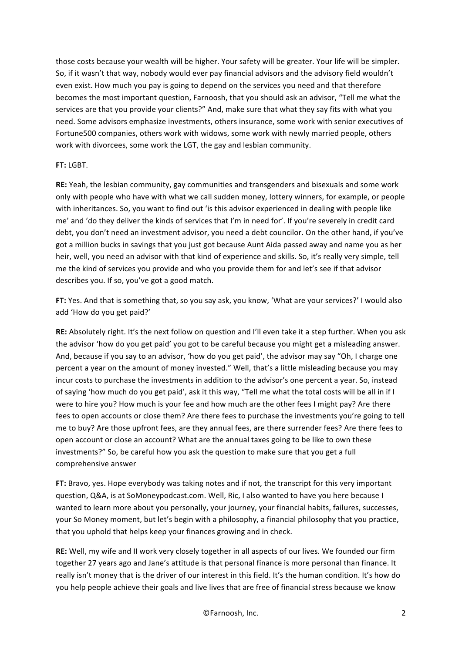those costs because your wealth will be higher. Your safety will be greater. Your life will be simpler. So, if it wasn't that way, nobody would ever pay financial advisors and the advisory field wouldn't even exist. How much you pay is going to depend on the services you need and that therefore becomes the most important question, Farnoosh, that you should ask an advisor, "Tell me what the services are that you provide your clients?" And, make sure that what they say fits with what you need. Some advisors emphasize investments, others insurance, some work with senior executives of Fortune500 companies, others work with widows, some work with newly married people, others work with divorcees, some work the LGT, the gay and lesbian community.

### **FT:** LGBT.

**RE:** Yeah, the lesbian community, gay communities and transgenders and bisexuals and some work only with people who have with what we call sudden money, lottery winners, for example, or people with inheritances. So, you want to find out 'is this advisor experienced in dealing with people like me' and 'do they deliver the kinds of services that I'm in need for'. If you're severely in credit card debt, you don't need an investment advisor, you need a debt councilor. On the other hand, if you've got a million bucks in savings that you just got because Aunt Aida passed away and name you as her heir, well, you need an advisor with that kind of experience and skills. So, it's really very simple, tell me the kind of services you provide and who you provide them for and let's see if that advisor describes you. If so, you've got a good match.

FT: Yes. And that is something that, so you say ask, you know, 'What are your services?' I would also add 'How do you get paid?'

**RE:** Absolutely right. It's the next follow on question and I'll even take it a step further. When you ask the advisor 'how do you get paid' you got to be careful because you might get a misleading answer. And, because if you say to an advisor, 'how do you get paid', the advisor may say "Oh, I charge one percent a year on the amount of money invested." Well, that's a little misleading because you may incur costs to purchase the investments in addition to the advisor's one percent a year. So, instead of saying 'how much do you get paid', ask it this way, "Tell me what the total costs will be all in if I were to hire you? How much is your fee and how much are the other fees I might pay? Are there fees to open accounts or close them? Are there fees to purchase the investments you're going to tell me to buy? Are those upfront fees, are they annual fees, are there surrender fees? Are there fees to open account or close an account? What are the annual taxes going to be like to own these investments?" So, be careful how you ask the question to make sure that you get a full comprehensive answer

**FT:** Bravo, yes. Hope everybody was taking notes and if not, the transcript for this very important question, Q&A, is at SoMoneypodcast.com. Well, Ric, I also wanted to have you here because I wanted to learn more about you personally, your journey, your financial habits, failures, successes, your So Money moment, but let's begin with a philosophy, a financial philosophy that you practice, that you uphold that helps keep your finances growing and in check.

**RE:** Well, my wife and II work very closely together in all aspects of our lives. We founded our firm together 27 years ago and Jane's attitude is that personal finance is more personal than finance. It really isn't money that is the driver of our interest in this field. It's the human condition. It's how do you help people achieve their goals and live lives that are free of financial stress because we know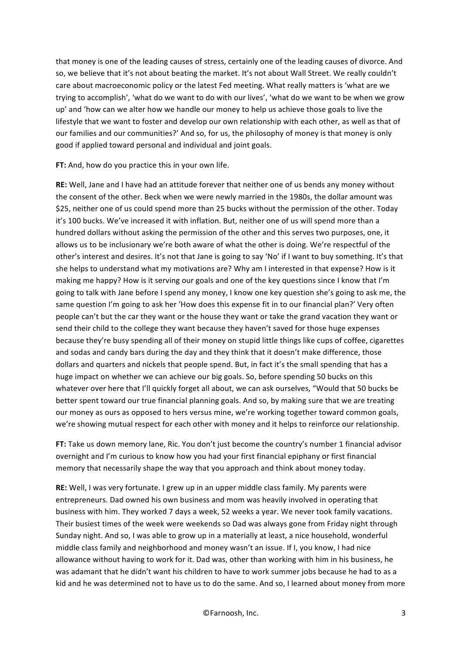that money is one of the leading causes of stress, certainly one of the leading causes of divorce. And so, we believe that it's not about beating the market. It's not about Wall Street. We really couldn't care about macroeconomic policy or the latest Fed meeting. What really matters is 'what are we trying to accomplish', 'what do we want to do with our lives', 'what do we want to be when we grow up' and 'how can we alter how we handle our money to help us achieve those goals to live the lifestyle that we want to foster and develop our own relationship with each other, as well as that of our families and our communities?' And so, for us, the philosophy of money is that money is only good if applied toward personal and individual and joint goals.

**FT:** And, how do you practice this in your own life.

**RE:** Well, Jane and I have had an attitude forever that neither one of us bends any money without the consent of the other. Beck when we were newly married in the 1980s, the dollar amount was \$25, neither one of us could spend more than 25 bucks without the permission of the other. Today it's 100 bucks. We've increased it with inflation. But, neither one of us will spend more than a hundred dollars without asking the permission of the other and this serves two purposes, one, it allows us to be inclusionary we're both aware of what the other is doing. We're respectful of the other's interest and desires. It's not that Jane is going to say 'No' if I want to buy something. It's that she helps to understand what my motivations are? Why am I interested in that expense? How is it making me happy? How is it serving our goals and one of the key questions since I know that I'm going to talk with Jane before I spend any money, I know one key question she's going to ask me, the same question I'm going to ask her 'How does this expense fit in to our financial plan?' Very often people can't but the car they want or the house they want or take the grand vacation they want or send their child to the college they want because they haven't saved for those huge expenses because they're busy spending all of their money on stupid little things like cups of coffee, cigarettes and sodas and candy bars during the day and they think that it doesn't make difference, those dollars and quarters and nickels that people spend. But, in fact it's the small spending that has a huge impact on whether we can achieve our big goals. So, before spending 50 bucks on this whatever over here that I'll quickly forget all about, we can ask ourselves, "Would that 50 bucks be better spent toward our true financial planning goals. And so, by making sure that we are treating our money as ours as opposed to hers versus mine, we're working together toward common goals, we're showing mutual respect for each other with money and it helps to reinforce our relationship.

**FT:** Take us down memory lane, Ric. You don't just become the country's number 1 financial advisor overnight and I'm curious to know how you had your first financial epiphany or first financial memory that necessarily shape the way that you approach and think about money today.

**RE:** Well, I was very fortunate. I grew up in an upper middle class family. My parents were entrepreneurs. Dad owned his own business and mom was heavily involved in operating that business with him. They worked 7 days a week, 52 weeks a year. We never took family vacations. Their busiest times of the week were weekends so Dad was always gone from Friday night through Sunday night. And so, I was able to grow up in a materially at least, a nice household, wonderful middle class family and neighborhood and money wasn't an issue. If I, you know, I had nice allowance without having to work for it. Dad was, other than working with him in his business, he was adamant that he didn't want his children to have to work summer jobs because he had to as a kid and he was determined not to have us to do the same. And so, I learned about money from more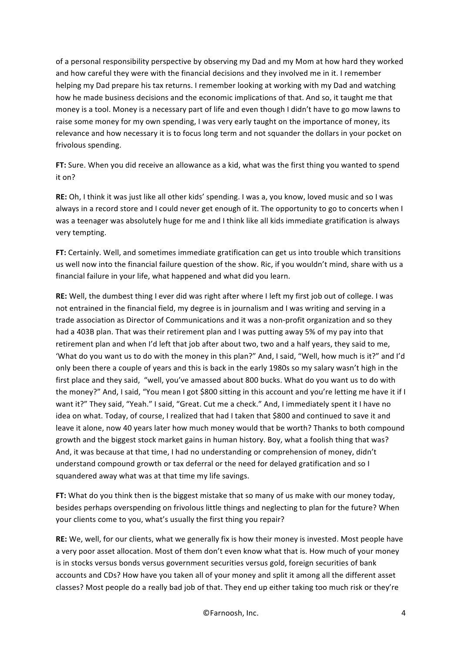of a personal responsibility perspective by observing my Dad and my Mom at how hard they worked and how careful they were with the financial decisions and they involved me in it. I remember helping my Dad prepare his tax returns. I remember looking at working with my Dad and watching how he made business decisions and the economic implications of that. And so, it taught me that money is a tool. Money is a necessary part of life and even though I didn't have to go mow lawns to raise some money for my own spending, I was very early taught on the importance of money, its relevance and how necessary it is to focus long term and not squander the dollars in your pocket on frivolous spending.

FT: Sure. When you did receive an allowance as a kid, what was the first thing you wanted to spend it on?

**RE:** Oh, I think it was just like all other kids' spending. I was a, you know, loved music and so I was always in a record store and I could never get enough of it. The opportunity to go to concerts when I was a teenager was absolutely huge for me and I think like all kids immediate gratification is always very tempting.

**FT:** Certainly. Well, and sometimes immediate gratification can get us into trouble which transitions us well now into the financial failure question of the show. Ric, if you wouldn't mind, share with us a financial failure in your life, what happened and what did you learn.

**RE:** Well, the dumbest thing I ever did was right after where I left my first job out of college. I was not entrained in the financial field, my degree is in journalism and I was writing and serving in a trade association as Director of Communications and it was a non-profit organization and so they had a 403B plan. That was their retirement plan and I was putting away 5% of my pay into that retirement plan and when I'd left that job after about two, two and a half years, they said to me, 'What do you want us to do with the money in this plan?" And, I said, "Well, how much is it?" and I'd only been there a couple of years and this is back in the early 1980s so my salary wasn't high in the first place and they said, "well, you've amassed about 800 bucks. What do you want us to do with the money?" And, I said, "You mean I got \$800 sitting in this account and you're letting me have it if I want it?" They said, "Yeah." I said, "Great. Cut me a check." And, I immediately spent it I have no idea on what. Today, of course, I realized that had I taken that \$800 and continued to save it and leave it alone, now 40 years later how much money would that be worth? Thanks to both compound growth and the biggest stock market gains in human history. Boy, what a foolish thing that was? And, it was because at that time, I had no understanding or comprehension of money, didn't understand compound growth or tax deferral or the need for delayed gratification and so I squandered away what was at that time my life savings.

FT: What do you think then is the biggest mistake that so many of us make with our money today, besides perhaps overspending on frivolous little things and neglecting to plan for the future? When your clients come to you, what's usually the first thing you repair?

**RE:** We, well, for our clients, what we generally fix is how their money is invested. Most people have a very poor asset allocation. Most of them don't even know what that is. How much of your money is in stocks versus bonds versus government securities versus gold, foreign securities of bank accounts and CDs? How have you taken all of your money and split it among all the different asset classes? Most people do a really bad job of that. They end up either taking too much risk or they're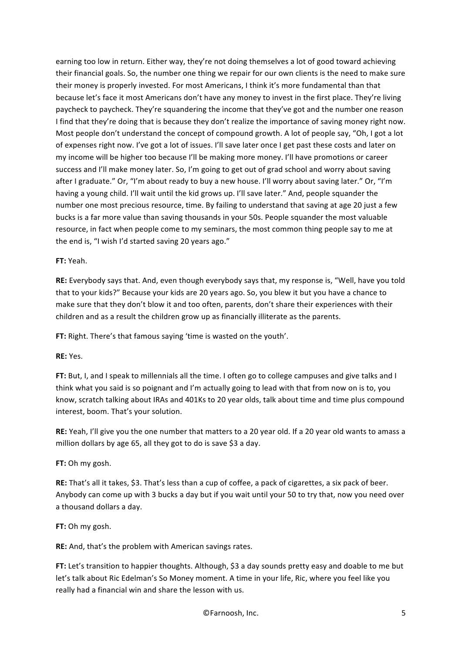earning too low in return. Either way, they're not doing themselves a lot of good toward achieving their financial goals. So, the number one thing we repair for our own clients is the need to make sure their money is properly invested. For most Americans, I think it's more fundamental than that because let's face it most Americans don't have any money to invest in the first place. They're living paycheck to paycheck. They're squandering the income that they've got and the number one reason I find that they're doing that is because they don't realize the importance of saving money right now. Most people don't understand the concept of compound growth. A lot of people say, "Oh, I got a lot of expenses right now. I've got a lot of issues. I'll save later once I get past these costs and later on my income will be higher too because I'll be making more money. I'll have promotions or career success and I'll make money later. So, I'm going to get out of grad school and worry about saving after I graduate." Or, "I'm about ready to buy a new house. I'll worry about saving later." Or, "I'm having a young child. I'll wait until the kid grows up. I'll save later." And, people squander the number one most precious resource, time. By failing to understand that saving at age 20 just a few bucks is a far more value than saving thousands in your 50s. People squander the most valuable resource, in fact when people come to my seminars, the most common thing people say to me at the end is, "I wish I'd started saving 20 years ago."

## **FT:** Yeah.

**RE:** Everybody says that. And, even though everybody says that, my response is, "Well, have you told that to your kids?" Because your kids are 20 years ago. So, you blew it but you have a chance to make sure that they don't blow it and too often, parents, don't share their experiences with their children and as a result the children grow up as financially illiterate as the parents.

FT: Right. There's that famous saying 'time is wasted on the youth'.

### **RE:** Yes.

**FT:** But, I, and I speak to millennials all the time. I often go to college campuses and give talks and I think what you said is so poignant and I'm actually going to lead with that from now on is to, you know, scratch talking about IRAs and 401Ks to 20 year olds, talk about time and time plus compound interest, boom. That's your solution.

**RE:** Yeah, I'll give you the one number that matters to a 20 year old. If a 20 year old wants to amass a million dollars by age 65, all they got to do is save \$3 a day.

# **FT:** Oh my gosh.

**RE:** That's all it takes, \$3. That's less than a cup of coffee, a pack of cigarettes, a six pack of beer. Anybody can come up with 3 bucks a day but if you wait until your 50 to try that, now you need over a thousand dollars a day.

### **FT:** Oh my gosh.

**RE:** And, that's the problem with American savings rates.

**FT:** Let's transition to happier thoughts. Although, \$3 a day sounds pretty easy and doable to me but let's talk about Ric Edelman's So Money moment. A time in your life, Ric, where you feel like you really had a financial win and share the lesson with us.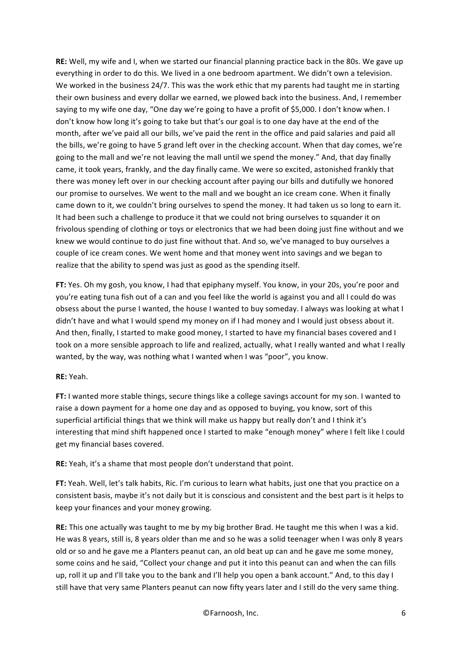**RE:** Well, my wife and I, when we started our financial planning practice back in the 80s. We gave up everything in order to do this. We lived in a one bedroom apartment. We didn't own a television. We worked in the business 24/7. This was the work ethic that my parents had taught me in starting their own business and every dollar we earned, we plowed back into the business. And, I remember saying to my wife one day, "One day we're going to have a profit of \$5,000. I don't know when. I don't know how long it's going to take but that's our goal is to one day have at the end of the month, after we've paid all our bills, we've paid the rent in the office and paid salaries and paid all the bills, we're going to have 5 grand left over in the checking account. When that day comes, we're going to the mall and we're not leaving the mall until we spend the money." And, that day finally came, it took years, frankly, and the day finally came. We were so excited, astonished frankly that there was money left over in our checking account after paying our bills and dutifully we honored our promise to ourselves. We went to the mall and we bought an ice cream cone. When it finally came down to it, we couldn't bring ourselves to spend the money. It had taken us so long to earn it. It had been such a challenge to produce it that we could not bring ourselves to squander it on frivolous spending of clothing or toys or electronics that we had been doing just fine without and we knew we would continue to do just fine without that. And so, we've managed to buy ourselves a couple of ice cream cones. We went home and that money went into savings and we began to realize that the ability to spend was just as good as the spending itself.

**FT:** Yes. Oh my gosh, you know, I had that epiphany myself. You know, in your 20s, you're poor and you're eating tuna fish out of a can and you feel like the world is against you and all I could do was obsess about the purse I wanted, the house I wanted to buy someday. I always was looking at what I didn't have and what I would spend my money on if I had money and I would just obsess about it. And then, finally, I started to make good money, I started to have my financial bases covered and I took on a more sensible approach to life and realized, actually, what I really wanted and what I really wanted, by the way, was nothing what I wanted when I was "poor", you know.

### **RE:** Yeah.

**FT:** I wanted more stable things, secure things like a college savings account for my son. I wanted to raise a down payment for a home one day and as opposed to buying, you know, sort of this superficial artificial things that we think will make us happy but really don't and I think it's interesting that mind shift happened once I started to make "enough money" where I felt like I could get my financial bases covered.

**RE:** Yeah, it's a shame that most people don't understand that point.

**FT:** Yeah. Well, let's talk habits, Ric. I'm curious to learn what habits, just one that you practice on a consistent basis, maybe it's not daily but it is conscious and consistent and the best part is it helps to keep your finances and your money growing.

**RE:** This one actually was taught to me by my big brother Brad. He taught me this when I was a kid. He was 8 years, still is, 8 years older than me and so he was a solid teenager when I was only 8 years old or so and he gave me a Planters peanut can, an old beat up can and he gave me some money, some coins and he said, "Collect your change and put it into this peanut can and when the can fills up, roll it up and I'll take you to the bank and I'll help you open a bank account." And, to this day I still have that very same Planters peanut can now fifty years later and I still do the very same thing.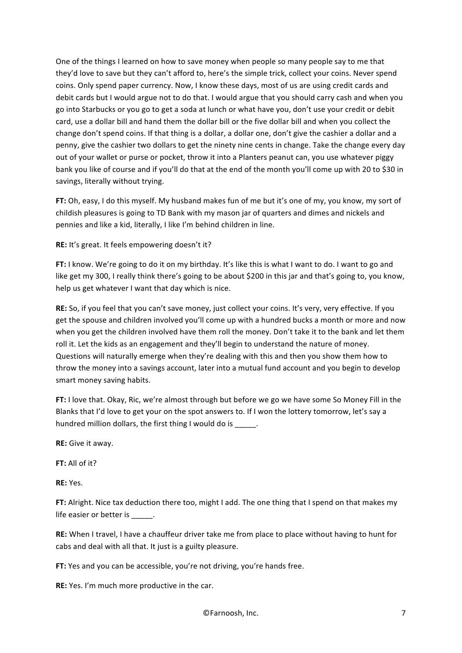One of the things I learned on how to save money when people so many people say to me that they'd love to save but they can't afford to, here's the simple trick, collect your coins. Never spend coins. Only spend paper currency. Now, I know these days, most of us are using credit cards and debit cards but I would argue not to do that. I would argue that you should carry cash and when you go into Starbucks or you go to get a soda at lunch or what have you, don't use your credit or debit card, use a dollar bill and hand them the dollar bill or the five dollar bill and when you collect the change don't spend coins. If that thing is a dollar, a dollar one, don't give the cashier a dollar and a penny, give the cashier two dollars to get the ninety nine cents in change. Take the change every day out of your wallet or purse or pocket, throw it into a Planters peanut can, you use whatever piggy bank you like of course and if you'll do that at the end of the month you'll come up with 20 to \$30 in savings, literally without trying.

**FT:** Oh, easy, I do this myself. My husband makes fun of me but it's one of my, you know, my sort of childish pleasures is going to TD Bank with my mason jar of quarters and dimes and nickels and pennies and like a kid, literally, I like I'm behind children in line.

**RE:** It's great. It feels empowering doesn't it?

**FT:** I know. We're going to do it on my birthday. It's like this is what I want to do. I want to go and like get my 300, I really think there's going to be about \$200 in this jar and that's going to, you know, help us get whatever I want that day which is nice.

**RE:** So, if you feel that you can't save money, just collect your coins. It's very, very effective. If you get the spouse and children involved you'll come up with a hundred bucks a month or more and now when you get the children involved have them roll the money. Don't take it to the bank and let them roll it. Let the kids as an engagement and they'll begin to understand the nature of money. Questions will naturally emerge when they're dealing with this and then you show them how to throw the money into a savings account, later into a mutual fund account and you begin to develop smart money saving habits.

**FT:** I love that. Okay, Ric, we're almost through but before we go we have some So Money Fill in the Blanks that I'd love to get your on the spot answers to. If I won the lottery tomorrow, let's say a hundred million dollars, the first thing I would do is  $\qquad \qquad$ .

**RE:** Give it away.

**FT:** All of it?

**RE:** Yes.

**FT:** Alright. Nice tax deduction there too, might I add. The one thing that I spend on that makes my life easier or better is

**RE:** When I travel, I have a chauffeur driver take me from place to place without having to hunt for cabs and deal with all that. It just is a guilty pleasure.

**FT:** Yes and you can be accessible, you're not driving, you're hands free.

**RE:** Yes. I'm much more productive in the car.